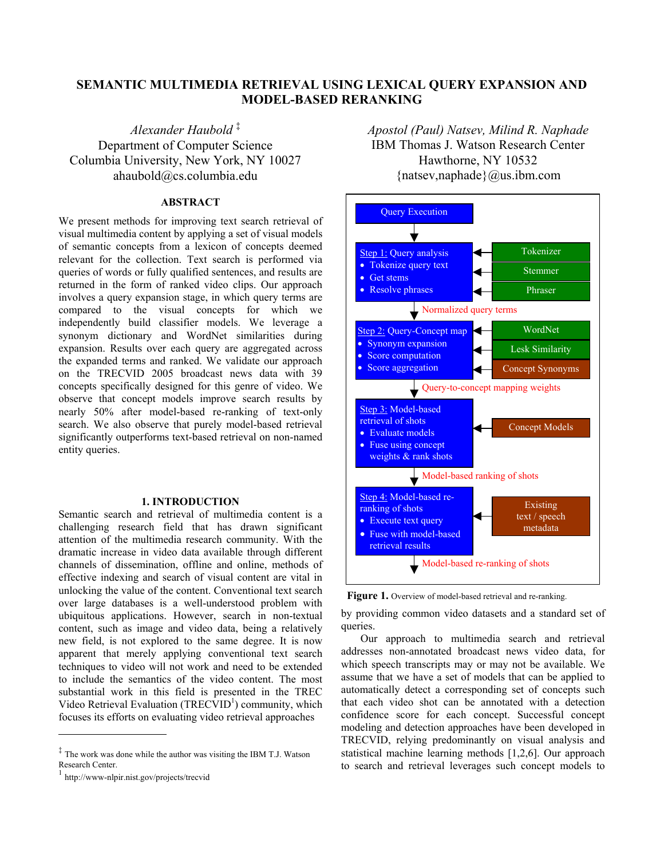# **SEMANTIC MULTIMEDIA RETRIEVAL USING LEXICAL QUERY EXPANSION AND MODEL-BASED RERANKING**

*Alexander Haubold* ‡ Department of Computer Science Columbia University, New York, NY 10027 ahaubold@cs.columbia.edu

# **ABSTRACT**

We present methods for improving text search retrieval of visual multimedia content by applying a set of visual models of semantic concepts from a lexicon of concepts deemed relevant for the collection. Text search is performed via queries of words or fully qualified sentences, and results are returned in the form of ranked video clips. Our approach involves a query expansion stage, in which query terms are compared to the visual concepts for which we independently build classifier models. We leverage a synonym dictionary and WordNet similarities during expansion. Results over each query are aggregated across the expanded terms and ranked. We validate our approach on the TRECVID 2005 broadcast news data with 39 concepts specifically designed for this genre of video. We observe that concept models improve search results by nearly 50% after model-based re-ranking of text-only search. We also observe that purely model-based retrieval significantly outperforms text-based retrieval on non-named entity queries.

## **1. INTRODUCTION**

Semantic search and retrieval of multimedia content is a challenging research field that has drawn significant attention of the multimedia research community. With the dramatic increase in video data available through different channels of dissemination, offline and online, methods of effective indexing and search of visual content are vital in unlocking the value of the content. Conventional text search over large databases is a well-understood problem with ubiquitous applications. However, search in non-textual content, such as image and video data, being a relatively new field, is not explored to the same degree. It is now apparent that merely applying conventional text search techniques to video will not work and need to be extended to include the semantics of the video content. The most substantial work in this field is presented in the TREC Video Retrieval Evaluation (TRECVID<sup>1</sup>) community, which focuses its efforts on evaluating video retrieval approaches

 $\overline{a}$ 

*Apostol (Paul) Natsev, Milind R. Naphade*  IBM Thomas J. Watson Research Center Hawthorne, NY 10532 { $natsev, naphade$ }  $@us.ibm.com$ 



Figure 1. Overview of model-based retrieval and re-ranking.

by providing common video datasets and a standard set of queries.

Our approach to multimedia search and retrieval addresses non-annotated broadcast news video data, for which speech transcripts may or may not be available. We assume that we have a set of models that can be applied to automatically detect a corresponding set of concepts such that each video shot can be annotated with a detection confidence score for each concept. Successful concept modeling and detection approaches have been developed in TRECVID, relying predominantly on visual analysis and statistical machine learning methods [1,2,6]. Our approach to search and retrieval leverages such concept models to

<sup>‡</sup> The work was done while the author was visiting the IBM T.J. Watson Research Center.

http://www-nlpir.nist.gov/projects/trecvid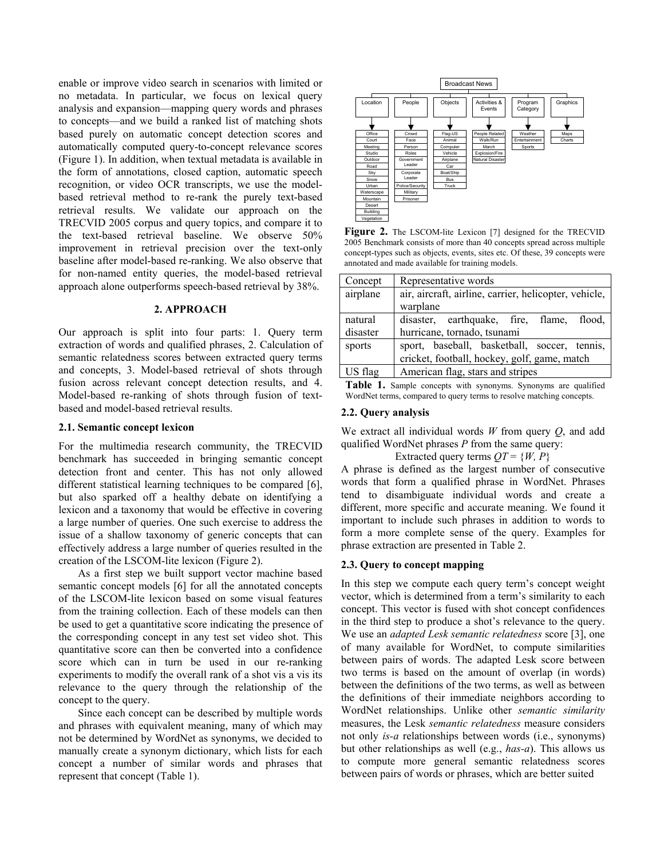enable or improve video search in scenarios with limited or no metadata. In particular, we focus on lexical query analysis and expansion—mapping query words and phrases to concepts—and we build a ranked list of matching shots based purely on automatic concept detection scores and automatically computed query-to-concept relevance scores (Figure 1). In addition, when textual metadata is available in the form of annotations, closed caption, automatic speech recognition, or video OCR transcripts, we use the modelbased retrieval method to re-rank the purely text-based retrieval results. We validate our approach on the TRECVID 2005 corpus and query topics, and compare it to the text-based retrieval baseline. We observe 50% improvement in retrieval precision over the text-only baseline after model-based re-ranking. We also observe that for non-named entity queries, the model-based retrieval approach alone outperforms speech-based retrieval by 38%.

## **2. APPROACH**

Our approach is split into four parts: 1. Query term extraction of words and qualified phrases, 2. Calculation of semantic relatedness scores between extracted query terms and concepts, 3. Model-based retrieval of shots through fusion across relevant concept detection results, and 4. Model-based re-ranking of shots through fusion of textbased and model-based retrieval results.

#### **2.1. Semantic concept lexicon**

For the multimedia research community, the TRECVID benchmark has succeeded in bringing semantic concept detection front and center. This has not only allowed different statistical learning techniques to be compared [6], but also sparked off a healthy debate on identifying a lexicon and a taxonomy that would be effective in covering a large number of queries. One such exercise to address the issue of a shallow taxonomy of generic concepts that can effectively address a large number of queries resulted in the creation of the LSCOM-lite lexicon (Figure 2).

As a first step we built support vector machine based semantic concept models [6] for all the annotated concepts of the LSCOM-lite lexicon based on some visual features from the training collection. Each of these models can then be used to get a quantitative score indicating the presence of the corresponding concept in any test set video shot. This quantitative score can then be converted into a confidence score which can in turn be used in our re-ranking experiments to modify the overall rank of a shot vis a vis its relevance to the query through the relationship of the concept to the query.

Since each concept can be described by multiple words and phrases with equivalent meaning, many of which may not be determined by WordNet as synonyms, we decided to manually create a synonym dictionary, which lists for each concept a number of similar words and phrases that represent that concept (Table 1).



Figure 2. The LSCOM-lite Lexicon [7] designed for the TRECVID 2005 Benchmark consists of more than 40 concepts spread across multiple concept-types such as objects, events, sites etc. Of these, 39 concepts were annotated and made available for training models.

| Concept  | Representative words                                  |  |  |  |
|----------|-------------------------------------------------------|--|--|--|
| airplane | air, aircraft, airline, carrier, helicopter, vehicle, |  |  |  |
|          | warplane                                              |  |  |  |
| natural  | disaster, earthquake, fire, flame, flood,             |  |  |  |
| disaster | hurricane, tornado, tsunami                           |  |  |  |
| sports   | sport, baseball, basketball, soccer, tennis,          |  |  |  |
|          | cricket, football, hockey, golf, game, match          |  |  |  |
| US flag  | American flag, stars and stripes                      |  |  |  |

Table 1. Sample concepts with synonyms. Synonyms are qualified WordNet terms, compared to query terms to resolve matching concepts.

#### **2.2. Query analysis**

We extract all individual words *W* from query *Q*, and add qualified WordNet phrases *P* from the same query:

## Extracted query terms  $QT = \{W, P\}$

A phrase is defined as the largest number of consecutive words that form a qualified phrase in WordNet. Phrases tend to disambiguate individual words and create a different, more specific and accurate meaning. We found it important to include such phrases in addition to words to form a more complete sense of the query. Examples for phrase extraction are presented in Table 2.

## **2.3. Query to concept mapping**

In this step we compute each query term's concept weight vector, which is determined from a term's similarity to each concept. This vector is fused with shot concept confidences in the third step to produce a shot's relevance to the query. We use an *adapted Lesk semantic relatedness* score [3], one of many available for WordNet, to compute similarities between pairs of words. The adapted Lesk score between two terms is based on the amount of overlap (in words) between the definitions of the two terms, as well as between the definitions of their immediate neighbors according to WordNet relationships. Unlike other *semantic similarity*  measures, the Lesk *semantic relatedness* measure considers not only *is-a* relationships between words (i.e., synonyms) but other relationships as well (e.g., *has-a*). This allows us to compute more general semantic relatedness scores between pairs of words or phrases, which are better suited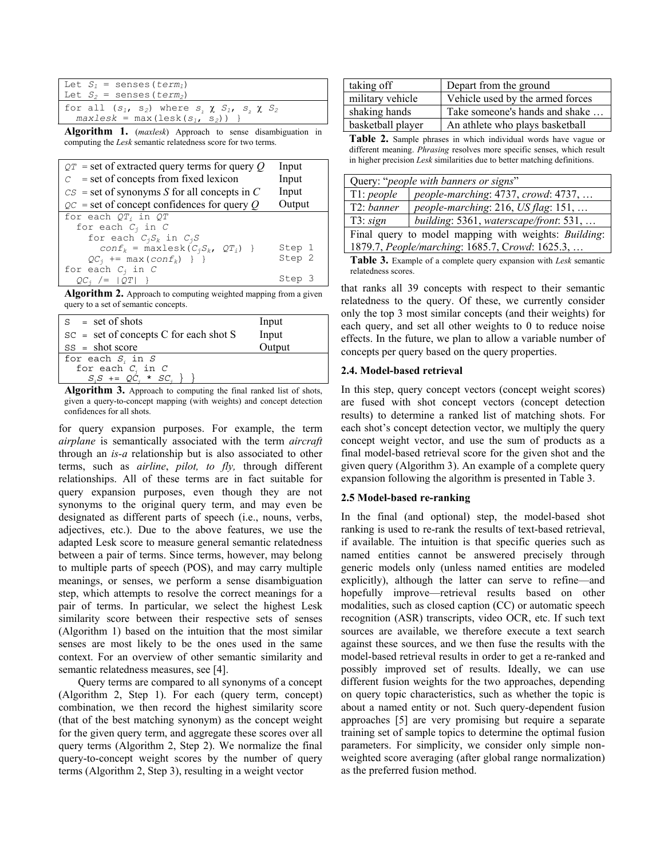| Let $S_1$ = senses (term,)                            |
|-------------------------------------------------------|
| Let $S_2$ = senses ( <i>term</i> <sub>2</sub> )       |
| for all $(s_1, s_2)$ where $s, \chi S_1, s, \chi S_2$ |
| $maxlesk = max (lesk(s1, s2))$                        |

**Algorithm 1.** (*maxlesk*) Approach to sense disambiguation in computing the *Lesk* semantic relatedness score for two terms.

| $QT =$ set of extracted query terms for query Q | Input  |
|-------------------------------------------------|--------|
| $c =$ set of concepts from fixed lexicon        | Input  |
| $CS =$ set of synonyms S for all concepts in C  | Input  |
| $QC$ = set of concept confidences for query Q   | Output |
| for each $QT_i$ in $QT$                         |        |
| for each $C_i$ in C                             |        |
| for each $C_iS_k$ in $C_iS$                     |        |
| $conf_k$ = maxlesk $(C_jS_k, QT_j)$ }           | Step 1 |
| $QC_i$ += max $(conf_k)$ } }                    | Step 2 |
| for each $C_i$ in C                             |        |
| $QC_i$ /= $ QT $ }                              | Step 3 |

**Algorithm 2.** Approach to computing weighted mapping from a given query to a set of semantic concepts.

| $s = set of shots$                                 | Input  |  |
|----------------------------------------------------|--------|--|
| $SC = set of concepts C for each shot S$           | Input  |  |
| $SS = shot score$                                  | Output |  |
| for each $S_i$ in $S$                              |        |  |
|                                                    |        |  |
| for each $C_j$ in $C$<br>$S_iS$ += $QC_i$ * $SC_i$ |        |  |
|                                                    |        |  |

**Algorithm 3.** Approach to computing the final ranked list of shots, given a query-to-concept mapping (with weights) and concept detection confidences for all shots.

for query expansion purposes. For example, the term *airplane* is semantically associated with the term *aircraft* through an *is-a* relationship but is also associated to other terms, such as *airline*, *pilot, to fly,* through different relationships. All of these terms are in fact suitable for query expansion purposes, even though they are not synonyms to the original query term, and may even be designated as different parts of speech (i.e., nouns, verbs, adjectives, etc.). Due to the above features, we use the adapted Lesk score to measure general semantic relatedness between a pair of terms. Since terms, however, may belong to multiple parts of speech (POS), and may carry multiple meanings, or senses, we perform a sense disambiguation step, which attempts to resolve the correct meanings for a pair of terms. In particular, we select the highest Lesk similarity score between their respective sets of senses (Algorithm 1) based on the intuition that the most similar senses are most likely to be the ones used in the same context. For an overview of other semantic similarity and semantic relatedness measures, see [4].

Query terms are compared to all synonyms of a concept (Algorithm 2, Step 1). For each (query term, concept) combination, we then record the highest similarity score (that of the best matching synonym) as the concept weight for the given query term, and aggregate these scores over all query terms (Algorithm 2, Step 2). We normalize the final query-to-concept weight scores by the number of query terms (Algorithm 2, Step 3), resulting in a weight vector

| taking off        | Depart from the ground           |  |  |
|-------------------|----------------------------------|--|--|
| military vehicle  | Vehicle used by the armed forces |  |  |
| shaking hands     | Take someone's hands and shake   |  |  |
| basketball player | An athlete who plays basketball  |  |  |

**Table 2.** Sample phrases in which individual words have vague or different meaning. *Phrasing* resolves more specific senses, which result in higher precision *Lesk* similarities due to better matching definitions.

| Query: "people with banners or signs"                |                                        |  |  |
|------------------------------------------------------|----------------------------------------|--|--|
| T1: people                                           | people-marching: 4737, crowd: 4737,    |  |  |
| T2: banner                                           | people-marching: 216, US flag: 151,    |  |  |
| T3: sign                                             | building: 5361, waterscape/front: 531, |  |  |
| Final query to model mapping with weights: Building: |                                        |  |  |
| 1879.7, People/marching: 1685.7, Crowd: 1625.3,      |                                        |  |  |
|                                                      |                                        |  |  |

**Table 3.** Example of a complete query expansion with *Lesk* semantic relatedness scores.

that ranks all 39 concepts with respect to their semantic relatedness to the query. Of these, we currently consider only the top 3 most similar concepts (and their weights) for each query, and set all other weights to 0 to reduce noise effects. In the future, we plan to allow a variable number of concepts per query based on the query properties.

## **2.4. Model-based retrieval**

In this step, query concept vectors (concept weight scores) are fused with shot concept vectors (concept detection results) to determine a ranked list of matching shots. For each shot's concept detection vector, we multiply the query concept weight vector, and use the sum of products as a final model-based retrieval score for the given shot and the given query (Algorithm 3). An example of a complete query expansion following the algorithm is presented in Table 3.

## **2.5 Model-based re-ranking**

In the final (and optional) step, the model-based shot ranking is used to re-rank the results of text-based retrieval, if available. The intuition is that specific queries such as named entities cannot be answered precisely through generic models only (unless named entities are modeled explicitly), although the latter can serve to refine—and hopefully improve—retrieval results based on other modalities, such as closed caption (CC) or automatic speech recognition (ASR) transcripts, video OCR, etc. If such text sources are available, we therefore execute a text search against these sources, and we then fuse the results with the model-based retrieval results in order to get a re-ranked and possibly improved set of results. Ideally, we can use different fusion weights for the two approaches, depending on query topic characteristics, such as whether the topic is about a named entity or not. Such query-dependent fusion approaches [5] are very promising but require a separate training set of sample topics to determine the optimal fusion parameters. For simplicity, we consider only simple nonweighted score averaging (after global range normalization) as the preferred fusion method.